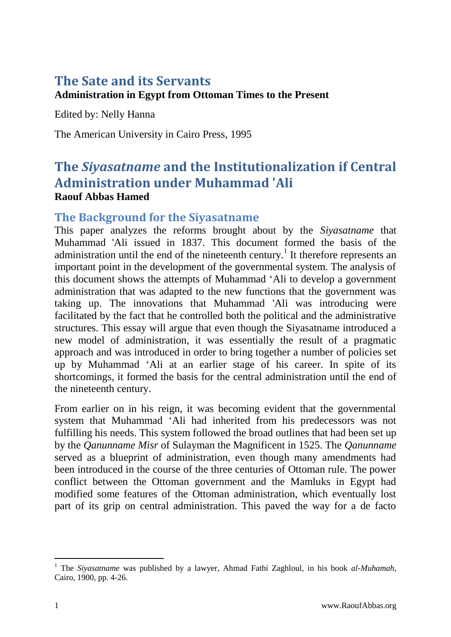# **The Sate and its Servants**

### **Administration in Egypt from Ottoman Times to the Present**

Edited by: Nelly Hanna

The American University in Cairo Press, 1995

# **The** *Siyasatname* **and the Institutionalization if Central Administration under Muhammad 'Ali Raouf Abbas Hamed**

### **The Background for the Siyasatname**

This paper analyzes the reforms brought about by the *Siyasatname* that Muhammad 'Ali issued in 1837. This document formed the basis of the administration until the end of the nineteenth century.<sup>1</sup> It therefore represents an important point in the development of the governmental system. The analysis of this document shows the attempts of Muhammad 'Ali to develop a government administration that was adapted to the new functions that the government was taking up. The innovations that Muhammad 'Ali was introducing were facilitated by the fact that he controlled both the political and the administrative structures. This essay will argue that even though the Siyasatname introduced a new model of administration, it was essentially the result of a pragmatic approach and was introduced in order to bring together a number of policies set up by Muhammad 'Ali at an earlier stage of his career. In spite of its shortcomings, it formed the basis for the central administration until the end of the nineteenth century.

From earlier on in his reign, it was becoming evident that the governmental system that Muhammad 'Ali had inherited from his predecessors was not fulfilling his needs. This system followed the broad outlines that had been set up by the *Qanunname Misr* of Sulayman the Magnificent in 1525. The *Qanunname*  served as a blueprint of administration, even though many amendments had been introduced in the course of the three centuries of Ottoman rule. The power conflict between the Ottoman government and the Mamluks in Egypt had modified some features of the Ottoman administration, which eventually lost part of its grip on central administration. This paved the way for a de facto

<sup>1</sup> The *Siyasatname* was published by a lawyer, Ahmad Fathi Zaghloul, in his book *al-Muhamah,*  Cairo, 1900, pp. 4-26.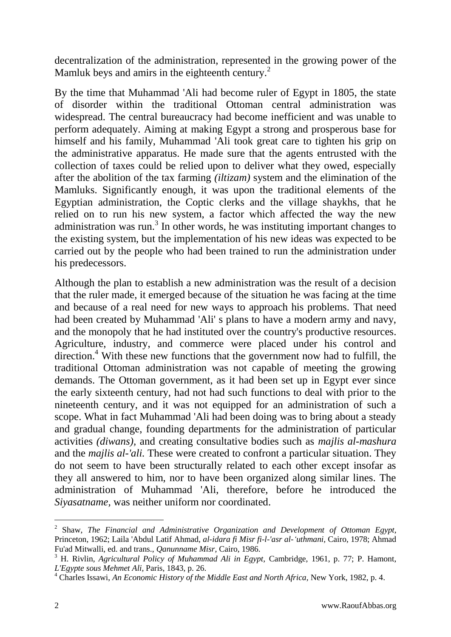decentralization of the administration, represented in the growing power of the Mamluk beys and amirs in the eighteenth century.<sup>2</sup>

By the time that Muhammad 'Ali had become ruler of Egypt in 1805, the state of disorder within the traditional Ottoman central administration was widespread. The central bureaucracy had become inefficient and was unable to perform adequately. Aiming at making Egypt a strong and prosperous base for himself and his family, Muhammad 'Ali took great care to tighten his grip on the administrative apparatus. He made sure that the agents entrusted with the collection of taxes could be relied upon to deliver what they owed, especially after the abolition of the tax farming *(iltizam)* system and the elimination of the Mamluks. Significantly enough, it was upon the traditional elements of the Egyptian administration, the Coptic clerks and the village shaykhs, that he relied on to run his new system, a factor which affected the way the new administration was run.<sup>3</sup> In other words, he was instituting important changes to the existing system, but the implementation of his new ideas was expected to be carried out by the people who had been trained to run the administration under his predecessors.

Although the plan to establish a new administration was the result of a decision that the ruler made, it emerged because of the situation he was facing at the time and because of a real need for new ways to approach his problems. That need had been created by Muhammad 'Ali' s plans to have a modern army and navy, and the monopoly that he had instituted over the country's productive resources. Agriculture, industry, and commerce were placed under his control and direction.<sup>4</sup> With these new functions that the government now had to fulfill, the traditional Ottoman administration was not capable of meeting the growing demands. The Ottoman government, as it had been set up in Egypt ever since the early sixteenth century, had not had such functions to deal with prior to the nineteenth century, and it was not equipped for an administration of such a scope. What in fact Muhammad 'Ali had been doing was to bring about a steady and gradual change, founding departments for the administration of particular activities *(diwans),* and creating consultative bodies such as *majlis al-mashura*  and the *majlis al-'ali.* These were created to confront a particular situation. They do not seem to have been structurally related to each other except insofar as they all answered to him, nor to have been organized along similar lines. The administration of Muhammad 'Ali, therefore, before he introduced the *Siyasatname,* was neither uniform nor coordinated.

-

<sup>2</sup> Shaw, *The Financial and Administrative Organization and Development of Ottoman Egypt,* Princeton, 1962; Laila 'Abdul Latif Ahmad, *al-idara fi Misr fi-l-'asr al-'uthmani,* Cairo, 1978; Ahmad Fu'ad Mitwalli, ed. and trans., *Qanunname Misr,* Cairo, 1986.

<sup>3</sup> H. Rivlin, *Agricultural Policy of Muhammad Ali in Egypt,* Cambridge, 1961, p. 77; P. Hamont, *L'Egypte sous Mehmet Ali,* Paris, 1843, p. 26.

<sup>&</sup>lt;sup>4</sup> Charles Issawi, *An Economic History of the Middle East and North Africa*, New York, 1982, p. 4.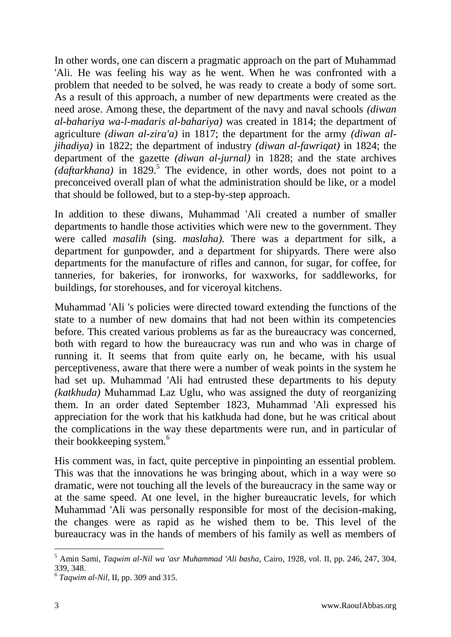In other words, one can discern a pragmatic approach on the part of Muhammad 'Ali. He was feeling his way as he went. When he was confronted with a problem that needed to be solved, he was ready to create a body of some sort. As a result of this approach, a number of new departments were created as the need arose. Among these, the department of the navy and naval schools *(diwan al-bahariya wa-l-madaris al-bahariya)* was created in 1814; the department of agriculture *(diwan al-zira'a)* in 1817; the department for the army *(diwan aljihadiya)* in 1822; the department of industry *(diwan al-fawriqat)* in 1824; the department of the gazette *(diwan al-jurnal)* in 1828; and the state archives (daftarkhana) in 1829.<sup>5</sup> The evidence, in other words, does not point to a preconceived overall plan of what the administration should be like, or a model that should be followed, but to a step-by-step approach.

In addition to these diwans, Muhammad 'Ali created a number of smaller departments to handle those activities which were new to the government. They were called *masalih* (sing. *maslaha).* There was a department for silk, a department for gunpowder, and a department for shipyards. There were also departments for the manufacture of rifles and cannon, for sugar, for coffee, for tanneries, for bakeries, for ironworks, for waxworks, for saddleworks, for buildings, for storehouses, and for viceroyal kitchens.

Muhammad 'Ali 's policies were directed toward extending the functions of the state to a number of new domains that had not been within its competencies before. This created various problems as far as the bureaucracy was concerned, both with regard to how the bureaucracy was run and who was in charge of running it. It seems that from quite early on, he became, with his usual perceptiveness, aware that there were a number of weak points in the system he had set up. Muhammad 'Ali had entrusted these departments to his deputy *(katkhuda)* Muhammad Laz Uglu, who was assigned the duty of reorganizing them. In an order dated September 1823, Muhammad 'Ali expressed his appreciation for the work that his katkhuda had done, but he was critical about the complications in the way these departments were run, and in particular of their bookkeeping system.<sup>6</sup>

His comment was, in fact, quite perceptive in pinpointing an essential problem. This was that the innovations he was bringing about, which in a way were so dramatic, were not touching all the levels of the bureaucracy in the same way or at the same speed. At one level, in the higher bureaucratic levels, for which Muhammad 'Ali was personally responsible for most of the decision-making, the changes were as rapid as he wished them to be. This level of the bureaucracy was in the hands of members of his family as well as members of

<sup>5</sup> Amin Sami, *Taqwim al-Nil wa 'asr Muhammad 'Ali basha,* Cairo, 1928, vol. II, pp. 246, 247, 304, 339, 348.

<sup>6</sup> *Taqwim al-Nil,* II, pp. 309 and 315.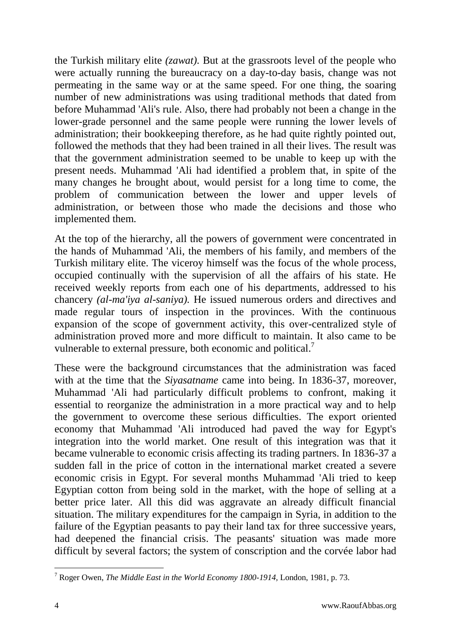the Turkish military elite *(zawat).* But at the grassroots level of the people who were actually running the bureaucracy on a day-to-day basis, change was not permeating in the same way or at the same speed. For one thing, the soaring number of new administrations was using traditional methods that dated from before Muhammad 'Ali's rule. Also, there had probably not been a change in the lower-grade personnel and the same people were running the lower levels of administration; their bookkeeping therefore, as he had quite rightly pointed out, followed the methods that they had been trained in all their lives. The result was that the government administration seemed to be unable to keep up with the present needs. Muhammad 'Ali had identified a problem that, in spite of the many changes he brought about, would persist for a long time to come, the problem of communication between the lower and upper levels of administration, or between those who made the decisions and those who implemented them.

At the top of the hierarchy, all the powers of government were concentrated in the hands of Muhammad 'Ali, the members of his family, and members of the Turkish military elite. The viceroy himself was the focus of the whole process, occupied continually with the supervision of all the affairs of his state. He received weekly reports from each one of his departments, addressed to his chancery *(al-ma'iya al-saniya).* He issued numerous orders and directives and made regular tours of inspection in the provinces. With the continuous expansion of the scope of government activity, this over-centralized style of administration proved more and more difficult to maintain. It also came to be vulnerable to external pressure, both economic and political.<sup>7</sup>

These were the background circumstances that the administration was faced with at the time that the *Siyasatname* came into being. In 1836-37, moreover, Muhammad 'Ali had particularly difficult problems to confront, making it essential to reorganize the administration in a more practical way and to help the government to overcome these serious difficulties. The export oriented economy that Muhammad 'Ali introduced had paved the way for Egypt's integration into the world market. One result of this integration was that it became vulnerable to economic crisis affecting its trading partners. In 1836-37 a sudden fall in the price of cotton in the international market created a severe economic crisis in Egypt. For several months Muhammad 'Ali tried to keep Egyptian cotton from being sold in the market, with the hope of selling at a better price later. All this did was aggravate an already difficult financial situation. The military expenditures for the campaign in Syria, in addition to the failure of the Egyptian peasants to pay their land tax for three successive years, had deepened the financial crisis. The peasants' situation was made more difficult by several factors; the system of conscription and the corvée labor had

<sup>-</sup><sup>7</sup> Roger Owen, *The Middle East in the World Economy 1800-1914,* London, 1981, p. 73.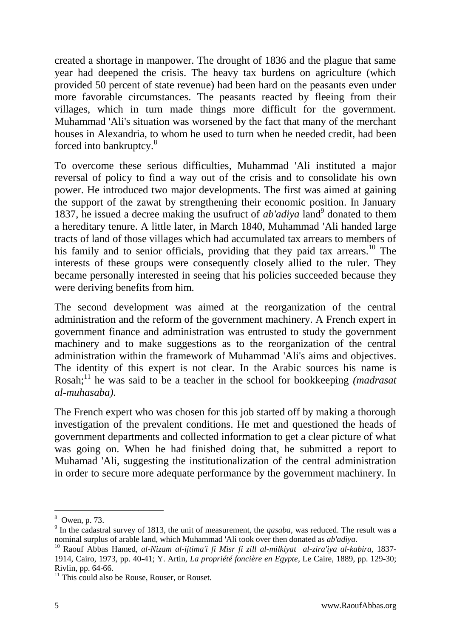created a shortage in manpower. The drought of 1836 and the plague that same year had deepened the crisis. The heavy tax burdens on agriculture (which provided 50 percent of state revenue) had been hard on the peasants even under more favorable circumstances. The peasants reacted by fleeing from their villages, which in turn made things more difficult for the government. Muhammad 'Ali's situation was worsened by the fact that many of the merchant houses in Alexandria, to whom he used to turn when he needed credit, had been forced into bankruptcy.<sup>8</sup>

To overcome these serious difficulties, Muhammad 'Ali instituted a major reversal of policy to find a way out of the crisis and to consolidate his own power. He introduced two major developments. The first was aimed at gaining the support of the zawat by strengthening their economic position. In January 1837, he issued a decree making the usufruct of *ab'adiya* land<sup>9</sup> donated to them a hereditary tenure. A little later, in March 1840, Muhammad 'Ali handed large tracts of land of those villages which had accumulated tax arrears to members of his family and to senior officials, providing that they paid tax arrears.<sup>10</sup> The interests of these groups were consequently closely allied to the ruler. They became personally interested in seeing that his policies succeeded because they were deriving benefits from him.

The second development was aimed at the reorganization of the central administration and the reform of the government machinery. A French expert in government finance and administration was entrusted to study the government machinery and to make suggestions as to the reorganization of the central administration within the framework of Muhammad 'Ali's aims and objectives. The identity of this expert is not clear. In the Arabic sources his name is Rosah;<sup>11</sup> he was said to be a teacher in the school for bookkeeping *(madrasat*) *al-muhasaba).*

The French expert who was chosen for this job started off by making a thorough investigation of the prevalent conditions. He met and questioned the heads of government departments and collected information to get a clear picture of what was going on. When he had finished doing that, he submitted a report to Muhamad 'Ali, suggesting the institutionalization of the central administration in order to secure more adequate performance by the government machinery. In

<sup>8</sup> Owen, p. 73.

<sup>&</sup>lt;sup>9</sup> In the cadastral survey of 1813, the unit of measurement, the *qasaba*, was reduced. The result was a nominal surplus of arable land, which Muhammad 'Ali took over then donated as *ab'adiya.*

<sup>&</sup>lt;sup>10</sup> Raouf Abbas Hamed, al-Nizam al-ijtima'i fi Misr fi zill al-milkiyat al-zira'iya al-kabira, 1837-1914, Cairo, 1973, pp. 40-41; Y. Artin, *La propriété foncière en Egypte,* Le Caire, 1889, pp. 129-30; Rivlin, pp. 64-66.

 $11$  This could also be Rouse, Rouser, or Rouset.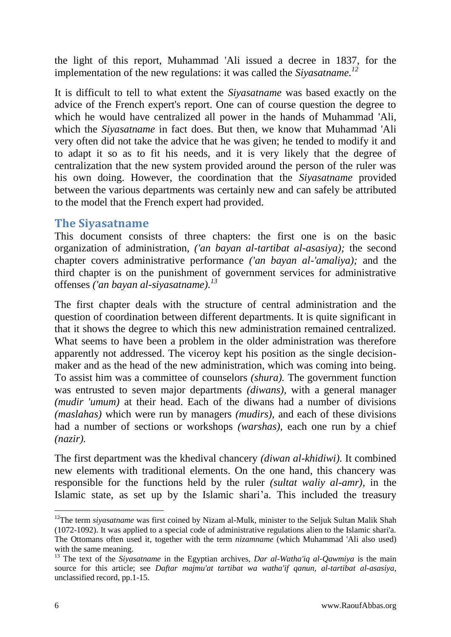the light of this report, Muhammad 'Ali issued a decree in 1837, for the implementation of the new regulations: it was called the *Siyasatname.<sup>12</sup>*

It is difficult to tell to what extent the *Siyasatname* was based exactly on the advice of the French expert's report. One can of course question the degree to which he would have centralized all power in the hands of Muhammad 'Ali, which the *Siyasatname* in fact does. But then, we know that Muhammad 'Ali very often did not take the advice that he was given; he tended to modify it and to adapt it so as to fit his needs, and it is very likely that the degree of centralization that the new system provided around the person of the ruler was his own doing. However, the coordination that the *Siyasatname* provided between the various departments was certainly new and can safely be attributed to the model that the French expert had provided.

### **The Siyasatname**

This document consists of three chapters: the first one is on the basic organization of administration, *('an bayan al-tartibat al-asasiya);* the second chapter covers administrative performance *('an bayan al-'amaliya);* and the third chapter is on the punishment of government services for administrative offenses *('an bayan al-siyasatname). 13*

The first chapter deals with the structure of central administration and the question of coordination between different departments. It is quite significant in that it shows the degree to which this new administration remained centralized. What seems to have been a problem in the older administration was therefore apparently not addressed. The viceroy kept his position as the single decisionmaker and as the head of the new administration, which was coming into being. To assist him was a committee of counselors *(shura).* The government function was entrusted to seven major departments *(diwans),* with a general manager *(mudir 'umum)* at their head. Each of the diwans had a number of divisions *(maslahas)* which were run by managers *(mudirs),* and each of these divisions had a number of sections or workshops *(warshas),* each one run by a chief *(nazir).*

The first department was the khedival chancery *(diwan al-khidiwi).* It combined new elements with traditional elements. On the one hand, this chancery was responsible for the functions held by the ruler *(sultat waliy al-amr),* in the Islamic state, as set up by the Islamic shari'a. This included the treasury

 $\overline{a}$ <sup>12</sup>The term *siyasatname* was first coined by Nizam al-Mulk, minister to the Seljuk Sultan Malik Shah (1072-1092). It was applied to a special code of administrative regulations alien to the Islamic shari'a. The Ottomans often used it, together with the term *nizamname* (which Muhammad 'Ali also used) with the same meaning.

<sup>&</sup>lt;sup>13</sup> The text of the *Siyasatname* in the Egyptian archives, *Dar al-Watha'iq al-Qawmiya* is the main source for this article; see *Daftar majmu'at tartibat wa watha'if qanun, al-tartibat al-asasiya,*  unclassified record, pp.1-15.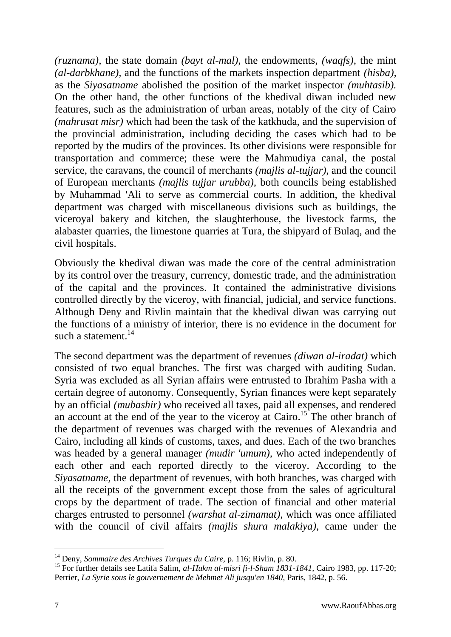*(ruznama),* the state domain *(bayt al-mal),* the endowments, *(waqfs),* the mint *(al-darbkhane),* and the functions of the markets inspection department *(hisba),*  as the *Siyasatname* abolished the position of the market inspector *(muhtasib).*  On the other hand, the other functions of the khedival diwan included new features, such as the administration of urban areas, notably of the city of Cairo *(mahrusat misr)* which had been the task of the katkhuda, and the supervision of the provincial administration, including deciding the cases which had to be reported by the mudirs of the provinces. Its other divisions were responsible for transportation and commerce; these were the Mahmudiya canal, the postal service, the caravans, the council of merchants *(majlis al-tujjar),* and the council of European merchants *(majlis tujjar urubba),* both councils being established by Muhammad 'Ali to serve as commercial courts. In addition, the khedival department was charged with miscellaneous divisions such as buildings, the viceroyal bakery and kitchen, the slaughterhouse, the livestock farms, the alabaster quarries, the limestone quarries at Tura, the shipyard of Bulaq, and the civil hospitals.

Obviously the khedival diwan was made the core of the central administration by its control over the treasury, currency, domestic trade, and the administration of the capital and the provinces. It contained the administrative divisions controlled directly by the viceroy, with financial, judicial, and service functions. Although Deny and Rivlin maintain that the khedival diwan was carrying out the functions of a ministry of interior, there is no evidence in the document for such a statement.<sup>14</sup>

The second department was the department of revenues *(diwan al-iradat)* which consisted of two equal branches. The first was charged with auditing Sudan. Syria was excluded as all Syrian affairs were entrusted to Ibrahim Pasha with a certain degree of autonomy. Consequently, Syrian finances were kept separately by an official *(mubashir)* who received all taxes, paid all expenses, and rendered an account at the end of the year to the viceroy at Cairo.<sup>15</sup> The other branch of the department of revenues was charged with the revenues of Alexandria and Cairo, including all kinds of customs, taxes, and dues. Each of the two branches was headed by a general manager *(mudir 'umum),* who acted independently of each other and each reported directly to the viceroy. According to the *Siyasatname,* the department of revenues, with both branches, was charged with all the receipts of the government except those from the sales of agricultural crops by the department of trade. The section of financial and other material charges entrusted to personnel *(warshat al-zimamat),* which was once affiliated with the council of civil affairs *(majlis shura malakiya),* came under the

<sup>&</sup>lt;sup>14</sup> Deny, *Sommaire des Archives Turques du Caire*, p. 116; Rivlin, p. 80.

<sup>15</sup> For further details see Latifa Salim, *al-Hukm al-misri fi-l-Sham 1831-1841,* Cairo 1983, pp. 117-20; Perrier, *La Syrie sous le gouvernement de Mehmet Ali jusqu'en 1840,* Paris, 1842, p. 56.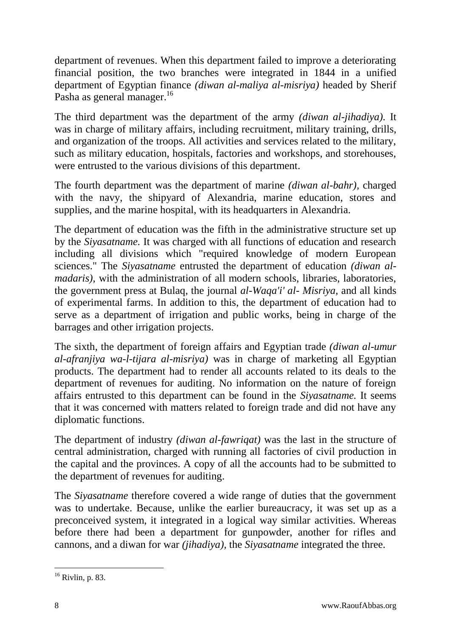department of revenues. When this department failed to improve a deteriorating financial position, the two branches were integrated in 1844 in a unified department of Egyptian finance *(diwan al-maliya al-misriya)* headed by Sherif Pasha as general manager.<sup>16</sup>

The third department was the department of the army *(diwan al-jihadiya).* It was in charge of military affairs, including recruitment, military training, drills, and organization of the troops. All activities and services related to the military, such as military education, hospitals, factories and workshops, and storehouses, were entrusted to the various divisions of this department.

The fourth department was the department of marine *(diwan al-bahr),* charged with the navy, the shipyard of Alexandria, marine education, stores and supplies, and the marine hospital, with its headquarters in Alexandria.

The department of education was the fifth in the administrative structure set up by the *Siyasatname.* It was charged with all functions of education and research including all divisions which "required knowledge of modern European sciences." The *Siyasatname* entrusted the department of education *(diwan almadaris),* with the administration of all modern schools, libraries, laboratories, the government press at Bulaq, the journal *al-Waqa'i' al- Misriya,* and all kinds of experimental farms. In addition to this, the department of education had to serve as a department of irrigation and public works, being in charge of the barrages and other irrigation projects.

The sixth, the department of foreign affairs and Egyptian trade *(diwan al-umur al-afranjiya wa-l-tijara al-misriya)* was in charge of marketing all Egyptian products. The department had to render all accounts related to its deals to the department of revenues for auditing. No information on the nature of foreign affairs entrusted to this department can be found in the *Siyasatname.* It seems that it was concerned with matters related to foreign trade and did not have any diplomatic functions.

The department of industry *(diwan al-fawriqat)* was the last in the structure of central administration, charged with running all factories of civil production in the capital and the provinces. A copy of all the accounts had to be submitted to the department of revenues for auditing.

The *Siyasatname* therefore covered a wide range of duties that the government was to undertake. Because, unlike the earlier bureaucracy, it was set up as a preconceived system, it integrated in a logical way similar activities. Whereas before there had been a department for gunpowder, another for rifles and cannons, and a diwan for war *(jihadiya),* the *Siyasatname* integrated the three.

-

 $16$  Rivlin, p. 83.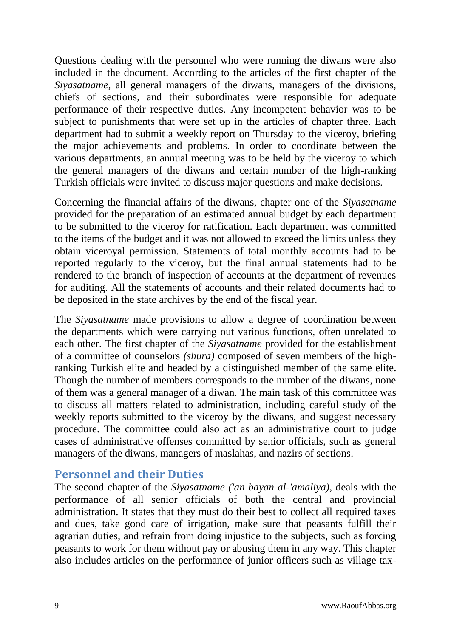Questions dealing with the personnel who were running the diwans were also included in the document. According to the articles of the first chapter of the *Siyasatname,* all general managers of the diwans, managers of the divisions, chiefs of sections, and their subordinates were responsible for adequate performance of their respective duties. Any incompetent behavior was to be subject to punishments that were set up in the articles of chapter three. Each department had to submit a weekly report on Thursday to the viceroy, briefing the major achievements and problems. In order to coordinate between the various departments, an annual meeting was to be held by the viceroy to which the general managers of the diwans and certain number of the high-ranking Turkish officials were invited to discuss major questions and make decisions.

Concerning the financial affairs of the diwans, chapter one of the *Siyasatname*  provided for the preparation of an estimated annual budget by each department to be submitted to the viceroy for ratification. Each department was committed to the items of the budget and it was not allowed to exceed the limits unless they obtain viceroyal permission. Statements of total monthly accounts had to be reported regularly to the viceroy, but the final annual statements had to be rendered to the branch of inspection of accounts at the department of revenues for auditing. All the statements of accounts and their related documents had to be deposited in the state archives by the end of the fiscal year.

The *Siyasatname* made provisions to allow a degree of coordination between the departments which were carrying out various functions, often unrelated to each other. The first chapter of the *Siyasatname* provided for the establishment of a committee of counselors *(shura)* composed of seven members of the highranking Turkish elite and headed by a distinguished member of the same elite. Though the number of members corresponds to the number of the diwans, none of them was a general manager of a diwan. The main task of this committee was to discuss all matters related to administration, including careful study of the weekly reports submitted to the viceroy by the diwans, and suggest necessary procedure. The committee could also act as an administrative court to judge cases of administrative offenses committed by senior officials, such as general managers of the diwans, managers of maslahas, and nazirs of sections.

## **Personnel and their Duties**

The second chapter of the *Siyasatname ('an bayan al-'amaliya),* deals with the performance of all senior officials of both the central and provincial administration. It states that they must do their best to collect all required taxes and dues, take good care of irrigation, make sure that peasants fulfill their agrarian duties, and refrain from doing injustice to the subjects, such as forcing peasants to work for them without pay or abusing them in any way. This chapter also includes articles on the performance of junior officers such as village tax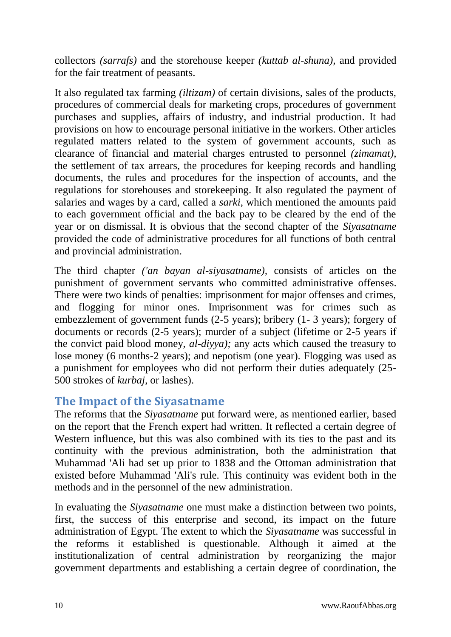collectors *(sarrafs)* and the storehouse keeper *(kuttab al-shuna),* and provided for the fair treatment of peasants.

It also regulated tax farming *(iltizam)* of certain divisions, sales of the products, procedures of commercial deals for marketing crops, procedures of government purchases and supplies, affairs of industry, and industrial production. It had provisions on how to encourage personal initiative in the workers. Other articles regulated matters related to the system of government accounts, such as clearance of financial and material charges entrusted to personnel *(zimamat),*  the settlement of tax arrears, the procedures for keeping records and handling documents, the rules and procedures for the inspection of accounts, and the regulations for storehouses and storekeeping. It also regulated the payment of salaries and wages by a card, called a *sarki,* which mentioned the amounts paid to each government official and the back pay to be cleared by the end of the year or on dismissal. It is obvious that the second chapter of the *Siyasatname* provided the code of administrative procedures for all functions of both central and provincial administration.

The third chapter *('an bayan al-siyasatname),* consists of articles on the punishment of government servants who committed administrative offenses. There were two kinds of penalties: imprisonment for major offenses and crimes, and flogging for minor ones. Imprisonment was for crimes such as embezzlement of government funds (2-5 years); bribery (1- 3 years); forgery of documents or records (2-5 years); murder of a subject (lifetime or 2-5 years if the convict paid blood money, *al-diyya);* any acts which caused the treasury to lose money (6 months-2 years); and nepotism (one year). Flogging was used as a punishment for employees who did not perform their duties adequately (25- 500 strokes of *kurbaj,* or lashes).

## **The Impact of the Siyasatname**

The reforms that the *Siyasatname* put forward were, as mentioned earlier, based on the report that the French expert had written. It reflected a certain degree of Western influence, but this was also combined with its ties to the past and its continuity with the previous administration, both the administration that Muhammad 'Ali had set up prior to 1838 and the Ottoman administration that existed before Muhammad 'Ali's rule. This continuity was evident both in the methods and in the personnel of the new administration.

In evaluating the *Siyasatname* one must make a distinction between two points, first, the success of this enterprise and second, its impact on the future administration of Egypt. The extent to which the *Siyasatname* was successful in the reforms it established is questionable. Although it aimed at the institutionalization of central administration by reorganizing the major government departments and establishing a certain degree of coordination, the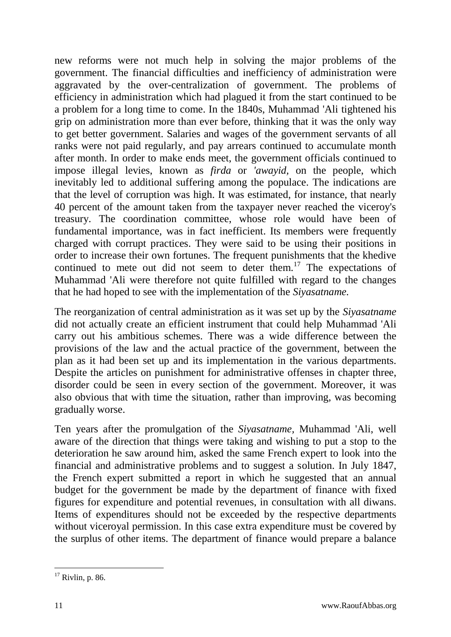new reforms were not much help in solving the major problems of the government. The financial difficulties and inefficiency of administration were aggravated by the over-centralization of government. The problems of efficiency in administration which had plagued it from the start continued to be a problem for a long time to come. In the 1840s, Muhammad 'Ali tightened his grip on administration more than ever before, thinking that it was the only way to get better government. Salaries and wages of the government servants of all ranks were not paid regularly, and pay arrears continued to accumulate month after month. In order to make ends meet, the government officials continued to impose illegal levies, known as *firda* or *'awayid,* on the people, which inevitably led to additional suffering among the populace. The indications are that the level of corruption was high. It was estimated, for instance, that nearly 40 percent of the amount taken from the taxpayer never reached the viceroy's treasury. The coordination committee, whose role would have been of fundamental importance, was in fact inefficient. Its members were frequently charged with corrupt practices. They were said to be using their positions in order to increase their own fortunes. The frequent punishments that the khedive continued to mete out did not seem to deter them.<sup>17</sup> The expectations of Muhammad 'Ali were therefore not quite fulfilled with regard to the changes that he had hoped to see with the implementation of the *Siyasatname.*

The reorganization of central administration as it was set up by the *Siyasatname*  did not actually create an efficient instrument that could help Muhammad 'Ali carry out his ambitious schemes. There was a wide difference between the provisions of the law and the actual practice of the government, between the plan as it had been set up and its implementation in the various departments. Despite the articles on punishment for administrative offenses in chapter three, disorder could be seen in every section of the government. Moreover, it was also obvious that with time the situation, rather than improving, was becoming gradually worse.

Ten years after the promulgation of the *Siyasatname,* Muhammad 'Ali, well aware of the direction that things were taking and wishing to put a stop to the deterioration he saw around him, asked the same French expert to look into the financial and administrative problems and to suggest a solution. In July 1847, the French expert submitted a report in which he suggested that an annual budget for the government be made by the department of finance with fixed figures for expenditure and potential revenues, in consultation with all diwans. Items of expenditures should not be exceeded by the respective departments without viceroyal permission. In this case extra expenditure must be covered by the surplus of other items. The department of finance would prepare a balance

<sup>-</sup> $17$  Rivlin, p. 86.